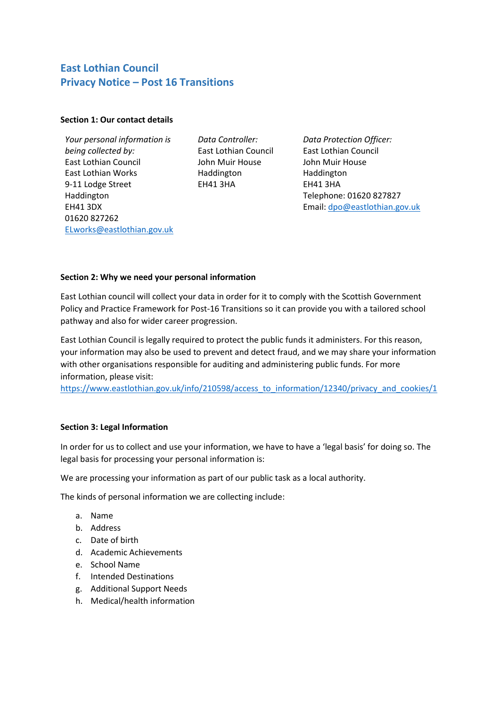# **East Lothian Council Privacy Notice – Post 16 Transitions**

### **Section 1: Our contact details**

*Your personal information is being collected by:*  East Lothian Council East Lothian Works 9-11 Lodge Street Haddington EH41 3DX 01620 827262 [ELworks@eastlothian.gov.uk](mailto:ELworks@eastlothian.gov.uk)

*Data Controller:* East Lothian Council John Muir House Haddington EH41 3HA

*Data Protection Officer:* East Lothian Council John Muir House Haddington EH41 3HA Telephone: 01620 827827 Email: [dpo@eastlothian.gov.uk](mailto:dpo@eastlothian.gov.uk)

### **Section 2: Why we need your personal information**

East Lothian council will collect your data in order for it to comply with the Scottish Government Policy and Practice Framework for Post-16 Transitions so it can provide you with a tailored school pathway and also for wider career progression.

East Lothian Council is legally required to protect the public funds it administers. For this reason, your information may also be used to prevent and detect fraud, and we may share your information with other organisations responsible for auditing and administering public funds. For more information, please visit:

[https://www.eastlothian.gov.uk/info/210598/access\\_to\\_information/12340/privacy\\_and\\_cookies/1](https://www.eastlothian.gov.uk/info/210598/access_to_information/12340/privacy_and_cookies/1)

## **Section 3: Legal Information**

In order for us to collect and use your information, we have to have a 'legal basis' for doing so. The legal basis for processing your personal information is:

We are processing your information as part of our public task as a local authority.

The kinds of personal information we are collecting include:

- a. Name
- b. Address
- c. Date of birth
- d. Academic Achievements
- e. School Name
- f. Intended Destinations
- g. Additional Support Needs
- h. Medical/health information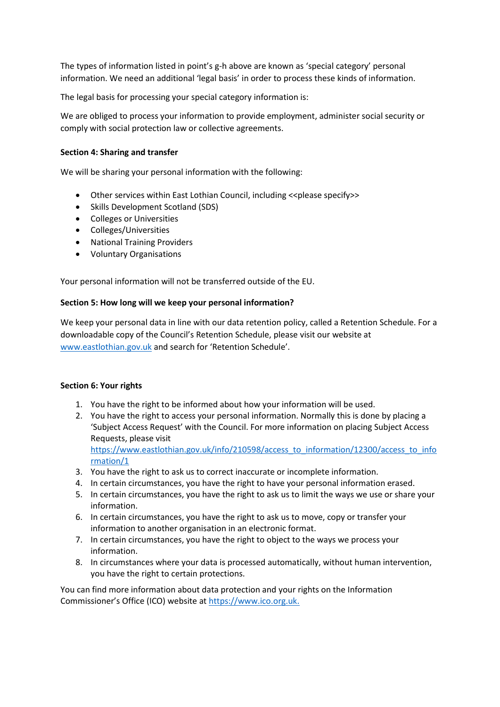The types of information listed in point's g-h above are known as 'special category' personal information. We need an additional 'legal basis' in order to process these kinds of information.

The legal basis for processing your special category information is:

We are obliged to process your information to provide employment, administer social security or comply with social protection law or collective agreements.

#### **Section 4: Sharing and transfer**

We will be sharing your personal information with the following:

- Other services within East Lothian Council, including << please specify>>
- Skills Development Scotland (SDS)
- Colleges or Universities
- Colleges/Universities
- National Training Providers
- Voluntary Organisations

Your personal information will not be transferred outside of the EU.

#### **Section 5: How long will we keep your personal information?**

We keep your personal data in line with our data retention policy, called a Retention Schedule. For a downloadable copy of the Council's Retention Schedule, please visit our website at [www.eastlothian.gov.uk](http://www.eastlothian.gov.uk/) and search for 'Retention Schedule'.

#### **Section 6: Your rights**

- 1. You have the right to be informed about how your information will be used.
- 2. You have the right to access your personal information. Normally this is done by placing a 'Subject Access Request' with the Council. For more information on placing Subject Access Requests, please visit [https://www.eastlothian.gov.uk/info/210598/access\\_to\\_information/12300/access\\_to\\_info](https://www.eastlothian.gov.uk/info/210598/access_to_information/12300/access_to_information/1) [rmation/1](https://www.eastlothian.gov.uk/info/210598/access_to_information/12300/access_to_information/1)
- 3. You have the right to ask us to correct inaccurate or incomplete information.
- 4. In certain circumstances, you have the right to have your personal information erased.
- 5. In certain circumstances, you have the right to ask us to limit the ways we use or share your information.
- 6. In certain circumstances, you have the right to ask us to move, copy or transfer your information to another organisation in an electronic format.
- 7. In certain circumstances, you have the right to object to the ways we process your information.
- 8. In circumstances where your data is processed automatically, without human intervention, you have the right to certain protections.

You can find more information about data protection and your rights on the Information Commissioner's Office (ICO) website a[t https://www.ico.org.uk.](https://www.ico.org.uk/)